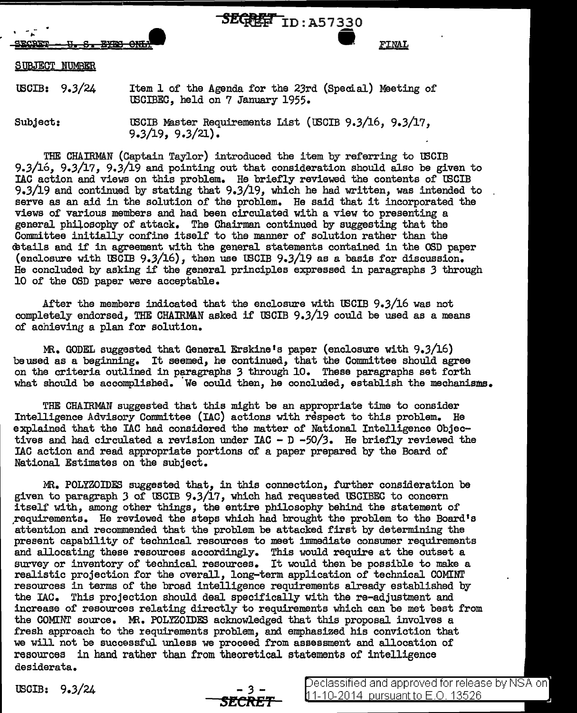

FINAL

## SUBJECT NUMBER

tBCIB: 9.3/24 Item 1 of the Agenda for the 23rd (Special) Meeting of tBCIBEC, held on 7 January 1955.

Subject:

tBOIB M3.ster Requirements List (tBCIB 9.3/16, 9.3/17, 9.3/19, 9.3/21).

THE CHAIRMAN (Captain Taylor) introduced the item by referring to U30IB 9.3/16, 9.3/17, 9.3/19 and pointing out that consideration should also be given to IAC action and views on this problem. He briefly reviewed the contents of U3CIB 9.3/19 and continued by stating that 9.3/19, which he had written, was intended to serve as an aid in the solution of the problem. He said that it incorporated the views of various members and had been circulated with a view to presenting a general philosophy of attack. The Chairman continued by suggesting that the Committee initially confine itself to the manner of solution rather than the <Btails and if in agreement with the general statements contained in the OSD paper (enclosure with U3CIB 9.3/16), then use U3CIB 9.3/19 as a basis for discussion. He concluded by asking if the general principles expressed in paragraphs *3* through 10 of the OSD paper were acceptable.

After the members indicated that the enclosure with U3CIB 9.3/16 was not completely endorsed, THE CHAIRMAN asked if USCIB 9.3/19 could be used as a means of achieving a plan for solution.

MR. GODEL suggested that General Erskine's paper (enclosure with 9.3/16) beused as a beginning. It seemed, he continued, that the Committee should agree on the criteria outlined in paragraphs *3* through 10. These paragraphs set forth what should be accomplished. We could then, he concluded, establish the mechanisms.

THE CHAIRMAN suggested that this might be an appropriate time to consider Intelligence Advisory Committee (IAC) actions with respect to this problem. He explained that the IAC had considered the matter of National Intelligence Objectives and had circulated a revision under IAC - D *-50/3.* He briefly reviewed the !AC action and read appropriate portions of a paper prepared by the Board of National Estimates on the subject.

.MR. POLYZOIDES suggested that, in this connection, further consideration be given to paragraph  $3$  of USCIB  $9.3/17$ , which had requested USCIBEC to concern itself with, among other things, the entire philosophy behind the statement of ,requirements. He reviewed the steps which had brought the problem to the Board's attention and recommended that the problem be attacked first by determining the present capability of technical resources to meet immediate consumer requirements and allocating these resources accordingly. This would require at the outset a survey or inventory of technical resources. It would then be possible to make a realistic projection for the overall, long-term application of technical COMINT resources in terms of the broad intelligence requirements already established by the IAC. This projection should deal specifically with the re-adjustment and increase of resources relating directly to requirements which can be met best from the COMINT source. MR. POLYZOIDES acknowledged that this proposal involves a fresh approach to the requirements problem, and emphasized his conviction that we will not be successful unless we proceed from assessment and allocation of resources in hand rather than from theoretical statements of intelligence desiderata.

IBOIB: 9.3/24 - *<sup>3</sup>*- *Stt:RE1'* 

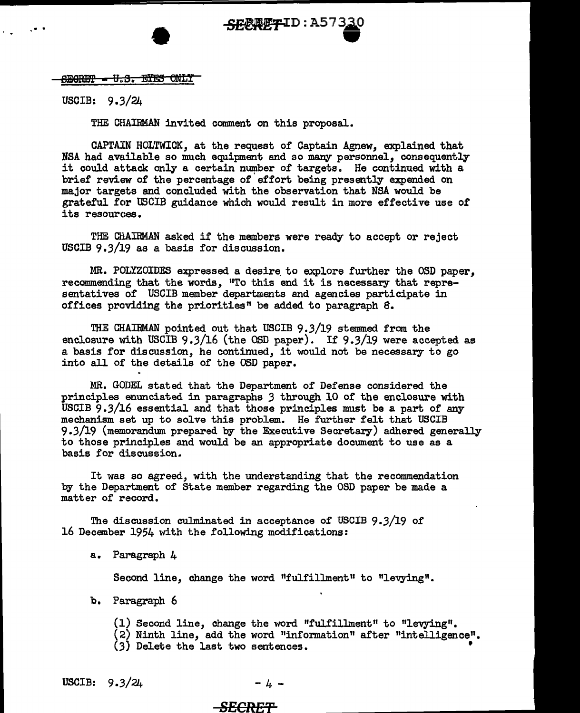

## $S$ EGRET  $-$  U.S. EYES ONLY

USCIB: 9.3/24

. .

THE CHAIRMAN invited comment on this proposal.

CAPTAIN HOLTWICK, at the request of Captain Agnew, explained that NSA had available so much equipment and so many personnel, consequently it could attack only a certain number of targets. He continued with a brief review of the percentage of effort being presently expended on major targets and concluded with the observation that NSA would be grateful for USCIB guidance which would result in more effective use of its resources.

THE CH.AIRMAN asked if the members were ready to accept or reject USCIB 9.3/19 as a basis for discussion.

MR. POLYZOIDES expressed a desire to explore further the OSD paper, recommending that the words, "To this end it is necessary that representatives of USCIB member departments and agencies participate in offices providing the priorities" be added to paragraph 8.

THE CHAIRMAN pointed out that USCIB 9.3/19 stemmed from the enclosure with USCIB 9.3/16 (the OSD paper). If 9.3/19 were accepted as a basis for discussion, he continued, it would not be necessary to go into all of the details of the OSD paper.

MR. GODEL stated that the Department of Defense considered the principles enunciated in paragraphs *3* through 10 of the enclosure with USCIB 9.3/16 essential and that those principles must be a part of any mechanism set up to solve this problem. He further felt that USCIB 9.3/19 (memorandum prepared by the Executive Secretary) adhered generally to those principles and would be an appropriate document to use as a basis for discussion.

It was so agreed, with the understanding that the recommendation by the Department of State member regarding the OSD paper be made a matter of record.

The discussion culminated in acceptance of USCIB 9.3/19 of 16 December 1954 with the following modifications:

a. Paragraph  $\mu$ 

Second line, change the word "fulfillment" to "levying".

- b. Paragraph 6
	- (1) Second line, change the word "fulfillment" to "levying".
	- $(2)$  Ninth line, add the word "information" after "intelligence".
	- (3) Delete the last two sentences. '

USCIB:  $9.3/24$  - 4 -

## *SECRET*